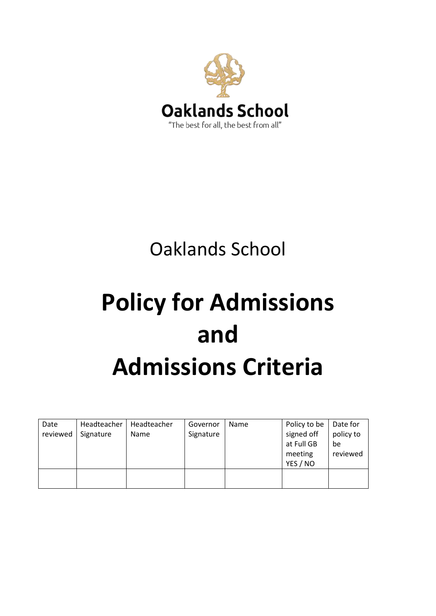

## Oaklands School

## **Policy for Admissions and Admissions Criteria**

| Date<br>reviewed | Headteacher<br>Signature | Headteacher<br>Name | Governor<br>Signature | Name | Policy to be<br>signed off<br>at Full GB<br>meeting | Date for<br>policy to<br>be<br>reviewed |
|------------------|--------------------------|---------------------|-----------------------|------|-----------------------------------------------------|-----------------------------------------|
|                  |                          |                     |                       |      | YES / NO                                            |                                         |
|                  |                          |                     |                       |      |                                                     |                                         |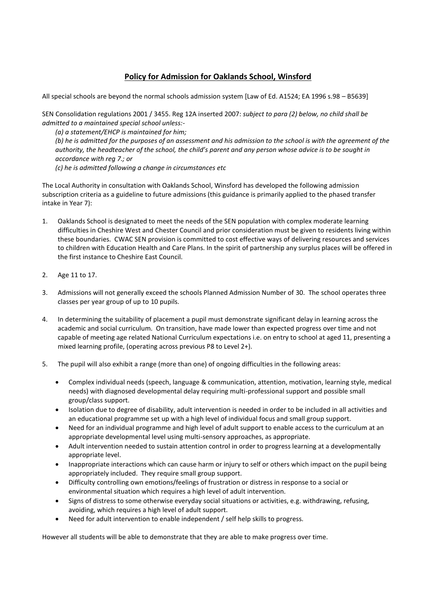## **Policy for Admission for Oaklands School, Winsford**

All special schools are beyond the normal schools admission system [Law of Ed. A1524; EA 1996 s.98 – B5639]

SEN Consolidation regulations 2001 / 3455. Reg 12A inserted 2007: *subject to para (2) below, no child shall be admitted to a maintained special school unless:-*

*(a) a statement/EHCP is maintained for him; (b) he is admitted for the purposes of an assessment and his admission to the school is with the agreement of the authority, the headteacher of the school, the child's parent and any person whose advice is to be sought in accordance with reg 7.; or (c) he is admitted following a change in circumstances etc*

The Local Authority in consultation with Oaklands School, Winsford has developed the following admission subscription criteria as a guideline to future admissions (this guidance is primarily applied to the phased transfer intake in Year 7):

- 1. Oaklands School is designated to meet the needs of the SEN population with complex moderate learning difficulties in Cheshire West and Chester Council and prior consideration must be given to residents living within these boundaries. CWAC SEN provision is committed to cost effective ways of delivering resources and services to children with Education Health and Care Plans. In the spirit of partnership any surplus places will be offered in the first instance to Cheshire East Council.
- 2. Age 11 to 17.
- 3. Admissions will not generally exceed the schools Planned Admission Number of 30. The school operates three classes per year group of up to 10 pupils.
- 4. In determining the suitability of placement a pupil must demonstrate significant delay in learning across the academic and social curriculum. On transition, have made lower than expected progress over time and not capable of meeting age related National Curriculum expectations i.e. on entry to school at aged 11, presenting a mixed learning profile, (operating across previous P8 to Level 2+).
- 5. The pupil will also exhibit a range (more than one) of ongoing difficulties in the following areas:
	- Complex individual needs (speech, language & communication, attention, motivation, learning style, medical needs) with diagnosed developmental delay requiring multi-professional support and possible small group/class support.
	- Isolation due to degree of disability, adult intervention is needed in order to be included in all activities and an educational programme set up with a high level of individual focus and small group support.
	- Need for an individual programme and high level of adult support to enable access to the curriculum at an appropriate developmental level using multi-sensory approaches, as appropriate.
	- Adult intervention needed to sustain attention control in order to progress learning at a developmentally appropriate level.
	- Inappropriate interactions which can cause harm or injury to self or others which impact on the pupil being appropriately included. They require small group support.
	- Difficulty controlling own emotions/feelings of frustration or distress in response to a social or environmental situation which requires a high level of adult intervention.
	- Signs of distress to some otherwise everyday social situations or activities, e.g. withdrawing, refusing, avoiding, which requires a high level of adult support.
	- Need for adult intervention to enable independent / self help skills to progress.

However all students will be able to demonstrate that they are able to make progress over time.